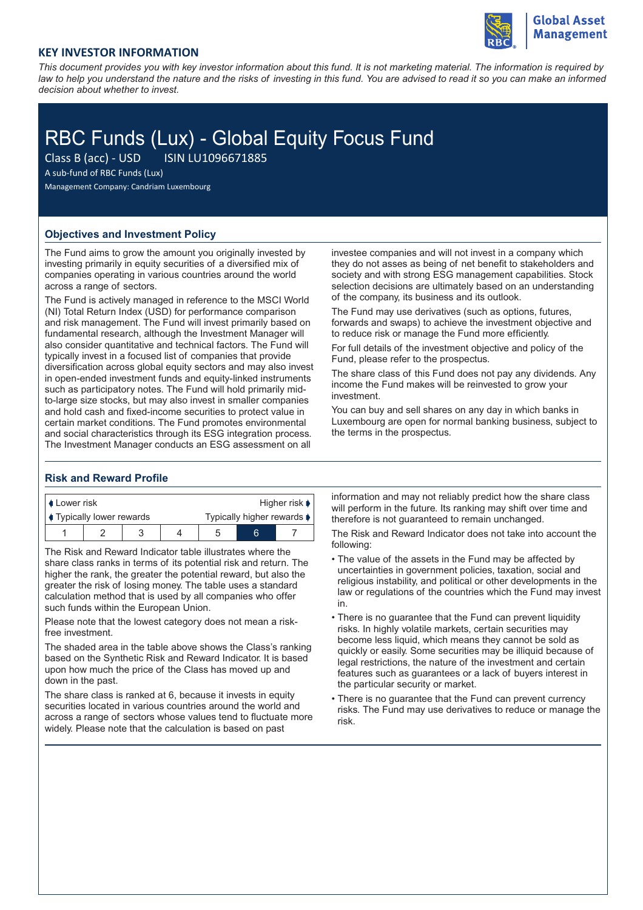

# **KEY INVESTOR INFORMATION**

*This document provides you with key investor information about this fund. It is not marketing material. The information is required by law to help you understand the nature and the risks of investing in this fund. You are advised to read it so you can make an informed decision about whether to invest.*

# RBC Funds (Lux) - Global Equity Focus Fund<br>Class B (acc) - USD<br>RISIN LU1096671885

Class B (acc) - USD

A sub-fund of RBC Funds (Lux)

Management Company: Candriam Luxembourg

## **Objectives and Investment Policy**

The Fund aims to grow the amount you originally invested by investing primarily in equity securities of a diversified mix of companies operating in various countries around the world across a range of sectors.

The Fund is actively managed in reference to the MSCI World (NI) Total Return Index (USD) for performance comparison and risk management. The Fund will invest primarily based on fundamental research, although the Investment Manager will also consider quantitative and technical factors. The Fund will typically invest in a focused list of companies that provide diversification across global equity sectors and may also invest in open-ended investment funds and equity-linked instruments such as participatory notes. The Fund will hold primarily midto-large size stocks, but may also invest in smaller companies and hold cash and fixed-income securities to protect value in certain market conditions. The Fund promotes environmental and social characteristics through its ESG integration process. The Investment Manager conducts an ESG assessment on all

investee companies and will not invest in a company which they do not asses as being of net benefit to stakeholders and society and with strong ESG management capabilities. Stock selection decisions are ultimately based on an understanding of the company, its business and its outlook.

The Fund may use derivatives (such as options, futures, forwards and swaps) to achieve the investment objective and to reduce risk or manage the Fund more efficiently.

For full details of the investment objective and policy of the Fund, please refer to the prospectus.

The share class of this Fund does not pay any dividends. Any income the Fund makes will be reinvested to grow your investment.

You can buy and sell shares on any day in which banks in Luxembourg are open for normal banking business, subject to the terms in the prospectus.

#### **Risk and Reward Profile**

| <b>↓</b> Lower risk              |  |  |  | Higher risk $\blacktriangleright$ |  |  |
|----------------------------------|--|--|--|-----------------------------------|--|--|
| <b>↓ Typically lower rewards</b> |  |  |  | Typically higher rewards ♦        |  |  |
|                                  |  |  |  |                                   |  |  |

The Risk and Reward Indicator table illustrates where the share class ranks in terms of its potential risk and return. The higher the rank, the greater the potential reward, but also the greater the risk of losing money. The table uses a standard calculation method that is used by all companies who offer such funds within the European Union.

Please note that the lowest category does not mean a riskfree investment.

The shaded area in the table above shows the Class's ranking based on the Synthetic Risk and Reward Indicator. It is based upon how much the price of the Class has moved up and down in the past.

The share class is ranked at 6, because it invests in equity securities located in various countries around the world and across a range of sectors whose values tend to fluctuate more widely. Please note that the calculation is based on past

information and may not reliably predict how the share class will perform in the future. Its ranking may shift over time and therefore is not guaranteed to remain unchanged.

The Risk and Reward Indicator does not take into account the following:

- The value of the assets in the Fund may be affected by uncertainties in government policies, taxation, social and religious instability, and political or other developments in the law or regulations of the countries which the Fund may invest in.
- There is no guarantee that the Fund can prevent liquidity risks. In highly volatile markets, certain securities may become less liquid, which means they cannot be sold as quickly or easily. Some securities may be illiquid because of legal restrictions, the nature of the investment and certain features such as guarantees or a lack of buyers interest in the particular security or market.
- There is no guarantee that the Fund can prevent currency risks. The Fund may use derivatives to reduce or manage the risk.